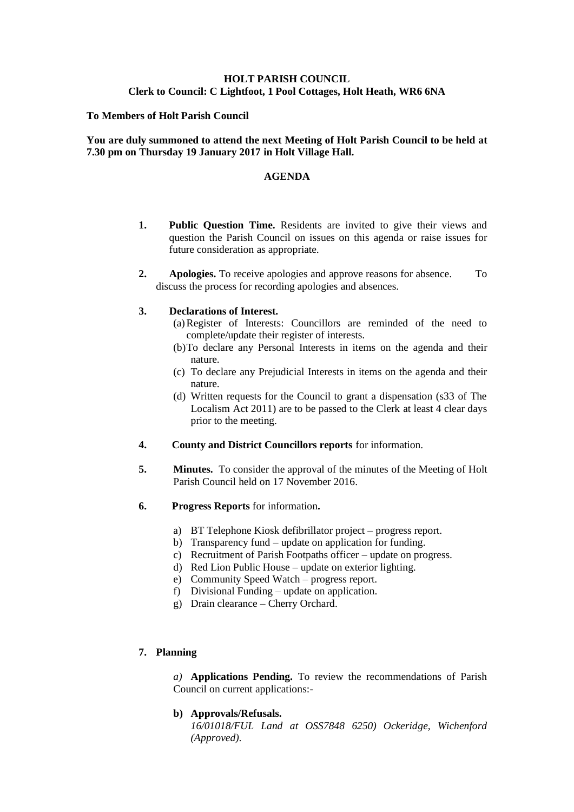# **HOLT PARISH COUNCIL Clerk to Council: C Lightfoot, 1 Pool Cottages, Holt Heath, WR6 6NA**

#### **To Members of Holt Parish Council**

### **You are duly summoned to attend the next Meeting of Holt Parish Council to be held at 7.30 pm on Thursday 19 January 2017 in Holt Village Hall.**

#### **AGENDA**

- **1. Public Question Time.** Residents are invited to give their views and question the Parish Council on issues on this agenda or raise issues for future consideration as appropriate.
- **2. Apologies.** To receive apologies and approve reasons for absence. To discuss the process for recording apologies and absences.

#### **3. Declarations of Interest.**

- (a)Register of Interests: Councillors are reminded of the need to complete/update their register of interests.
- (b)To declare any Personal Interests in items on the agenda and their nature.
- (c) To declare any Prejudicial Interests in items on the agenda and their nature.
- (d) Written requests for the Council to grant a dispensation (s33 of The Localism Act 2011) are to be passed to the Clerk at least 4 clear days prior to the meeting.
- **4. County and District Councillors reports** for information.
- **5. Minutes.** To consider the approval of the minutes of the Meeting of Holt Parish Council held on 17 November 2016.
- **6. Progress Reports** for information**.**
	- a) BT Telephone Kiosk defibrillator project progress report.
	- b) Transparency fund update on application for funding.
	- c) Recruitment of Parish Footpaths officer update on progress.
	- d) Red Lion Public House update on exterior lighting.
	- e) Community Speed Watch progress report.
	- f) Divisional Funding update on application.
	- g) Drain clearance Cherry Orchard.

## **7. Planning**

*a)* **Applications Pending.** To review the recommendations of Parish Council on current applications:-

### **b) Approvals/Refusals.**

*16/01018/FUL Land at OSS7848 6250) Ockeridge, Wichenford (Approved).*